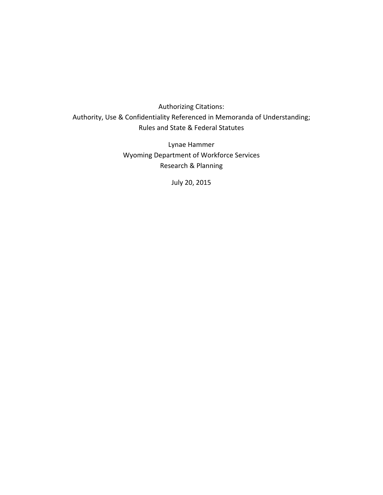## Authorizing Citations: Authority, Use & Confidentiality Referenced in Memoranda of Understanding; Rules and State & Federal Statutes

Lynae Hammer Wyoming Department of Workforce Services Research & Planning

July 20, 2015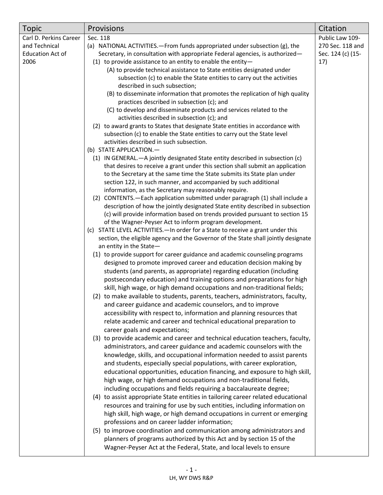| Topic                   | Provisions                                                                                             | Citation          |
|-------------------------|--------------------------------------------------------------------------------------------------------|-------------------|
| Carl D. Perkins Career  | Sec. 118                                                                                               | Public Law 109-   |
| and Technical           | (a) NATIONAL ACTIVITIES.—From funds appropriated under subsection (g), the                             | 270 Sec. 118 and  |
| <b>Education Act of</b> | Secretary, in consultation with appropriate Federal agencies, is authorized-                           | Sec. 124 (c) (15- |
| 2006                    | (1) to provide assistance to an entity to enable the entity-                                           | 17)               |
|                         | (A) to provide technical assistance to State entities designated under                                 |                   |
|                         | subsection (c) to enable the State entities to carry out the activities                                |                   |
|                         | described in such subsection;                                                                          |                   |
|                         | (B) to disseminate information that promotes the replication of high quality                           |                   |
|                         | practices described in subsection (c); and                                                             |                   |
|                         | (C) to develop and disseminate products and services related to the                                    |                   |
|                         | activities described in subsection (c); and                                                            |                   |
|                         | (2) to award grants to States that designate State entities in accordance with                         |                   |
|                         | subsection (c) to enable the State entities to carry out the State level                               |                   |
|                         | activities described in such subsection.                                                               |                   |
|                         | (b) STATE APPLICATION.-                                                                                |                   |
|                         | (1) IN GENERAL.—A jointly designated State entity described in subsection (c)                          |                   |
|                         | that desires to receive a grant under this section shall submit an application                         |                   |
|                         | to the Secretary at the same time the State submits its State plan under                               |                   |
|                         | section 122, in such manner, and accompanied by such additional                                        |                   |
|                         | information, as the Secretary may reasonably require.                                                  |                   |
|                         | (2) CONTENTS.—Each application submitted under paragraph (1) shall include a                           |                   |
|                         | description of how the jointly designated State entity described in subsection                         |                   |
|                         | (c) will provide information based on trends provided pursuant to section 15                           |                   |
|                         | of the Wagner-Peyser Act to inform program development.                                                |                   |
|                         | (c) STATE LEVEL ACTIVITIES. - In order for a State to receive a grant under this                       |                   |
|                         | section, the eligible agency and the Governor of the State shall jointly designate                     |                   |
|                         | an entity in the State-<br>(1) to provide support for career guidance and academic counseling programs |                   |
|                         | designed to promote improved career and education decision making by                                   |                   |
|                         | students (and parents, as appropriate) regarding education (including                                  |                   |
|                         | postsecondary education) and training options and preparations for high                                |                   |
|                         | skill, high wage, or high demand occupations and non-traditional fields;                               |                   |
|                         | (2) to make available to students, parents, teachers, administrators, faculty,                         |                   |
|                         | and career guidance and academic counselors, and to improve                                            |                   |
|                         | accessibility with respect to, information and planning resources that                                 |                   |
|                         | relate academic and career and technical educational preparation to                                    |                   |
|                         | career goals and expectations;                                                                         |                   |
|                         | (3) to provide academic and career and technical education teachers, faculty,                          |                   |
|                         | administrators, and career guidance and academic counselors with the                                   |                   |
|                         | knowledge, skills, and occupational information needed to assist parents                               |                   |
|                         | and students, especially special populations, with career exploration,                                 |                   |
|                         | educational opportunities, education financing, and exposure to high skill,                            |                   |
|                         | high wage, or high demand occupations and non-traditional fields,                                      |                   |
|                         | including occupations and fields requiring a baccalaureate degree;                                     |                   |
|                         | (4) to assist appropriate State entities in tailoring career related educational                       |                   |
|                         | resources and training for use by such entities, including information on                              |                   |
|                         | high skill, high wage, or high demand occupations in current or emerging                               |                   |
|                         | professions and on career ladder information;                                                          |                   |
|                         | (5) to improve coordination and communication among administrators and                                 |                   |
|                         | planners of programs authorized by this Act and by section 15 of the                                   |                   |
|                         | Wagner-Peyser Act at the Federal, State, and local levels to ensure                                    |                   |
|                         |                                                                                                        |                   |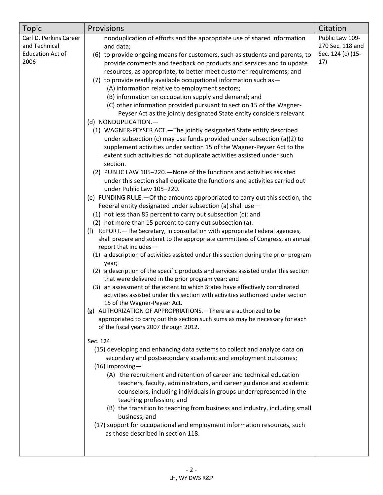| <b>Topic</b>            | Provisions                                                                                                                                | Citation          |
|-------------------------|-------------------------------------------------------------------------------------------------------------------------------------------|-------------------|
| Carl D. Perkins Career  | nonduplication of efforts and the appropriate use of shared information                                                                   | Public Law 109-   |
| and Technical           | and data;                                                                                                                                 | 270 Sec. 118 and  |
| <b>Education Act of</b> | (6) to provide ongoing means for customers, such as students and parents, to                                                              | Sec. 124 (c) (15- |
| 2006                    | provide comments and feedback on products and services and to update                                                                      | 17)               |
|                         | resources, as appropriate, to better meet customer requirements; and                                                                      |                   |
|                         | (7) to provide readily available occupational information such as-                                                                        |                   |
|                         | (A) information relative to employment sectors;                                                                                           |                   |
|                         | (B) information on occupation supply and demand; and                                                                                      |                   |
|                         | (C) other information provided pursuant to section 15 of the Wagner-                                                                      |                   |
|                         | Peyser Act as the jointly designated State entity considers relevant.                                                                     |                   |
|                         | (d) NONDUPLICATION.-                                                                                                                      |                   |
|                         | (1) WAGNER-PEYSER ACT. - The jointly designated State entity described                                                                    |                   |
|                         | under subsection (c) may use funds provided under subsection (a)(2) to                                                                    |                   |
|                         | supplement activities under section 15 of the Wagner-Peyser Act to the                                                                    |                   |
|                         | extent such activities do not duplicate activities assisted under such                                                                    |                   |
|                         | section.                                                                                                                                  |                   |
|                         | (2) PUBLIC LAW 105-220. - None of the functions and activities assisted                                                                   |                   |
|                         | under this section shall duplicate the functions and activities carried out                                                               |                   |
|                         | under Public Law 105-220.                                                                                                                 |                   |
|                         | (e) FUNDING RULE. - Of the amounts appropriated to carry out this section, the                                                            |                   |
|                         | Federal entity designated under subsection (a) shall use-                                                                                 |                   |
|                         | (1) not less than 85 percent to carry out subsection (c); and                                                                             |                   |
|                         | (2) not more than 15 percent to carry out subsection (a).                                                                                 |                   |
|                         | (f) REPORT.—The Secretary, in consultation with appropriate Federal agencies,                                                             |                   |
|                         | shall prepare and submit to the appropriate committees of Congress, an annual                                                             |                   |
|                         | report that includes-                                                                                                                     |                   |
|                         | (1) a description of activities assisted under this section during the prior program                                                      |                   |
|                         | year;                                                                                                                                     |                   |
|                         | (2) a description of the specific products and services assisted under this section<br>that were delivered in the prior program year; and |                   |
|                         | (3) an assessment of the extent to which States have effectively coordinated                                                              |                   |
|                         | activities assisted under this section with activities authorized under section                                                           |                   |
|                         | 15 of the Wagner-Peyser Act.                                                                                                              |                   |
|                         | (g) AUTHORIZATION OF APPROPRIATIONS. - There are authorized to be                                                                         |                   |
|                         | appropriated to carry out this section such sums as may be necessary for each                                                             |                   |
|                         | of the fiscal years 2007 through 2012.                                                                                                    |                   |
|                         |                                                                                                                                           |                   |
|                         | Sec. 124                                                                                                                                  |                   |
|                         | (15) developing and enhancing data systems to collect and analyze data on                                                                 |                   |
|                         | secondary and postsecondary academic and employment outcomes;                                                                             |                   |
|                         | (16) improving-                                                                                                                           |                   |
|                         | (A) the recruitment and retention of career and technical education                                                                       |                   |
|                         | teachers, faculty, administrators, and career guidance and academic                                                                       |                   |
|                         | counselors, including individuals in groups underrepresented in the                                                                       |                   |
|                         | teaching profession; and                                                                                                                  |                   |
|                         | (B) the transition to teaching from business and industry, including small                                                                |                   |
|                         | business; and                                                                                                                             |                   |
|                         | (17) support for occupational and employment information resources, such<br>as those described in section 118.                            |                   |
|                         |                                                                                                                                           |                   |
|                         |                                                                                                                                           |                   |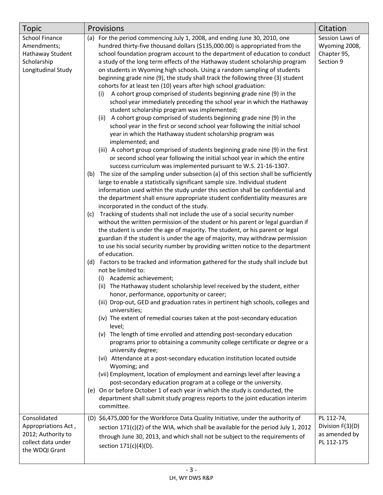| <b>Topic</b>          | Provisions                                                                                                                                                             | Citation         |
|-----------------------|------------------------------------------------------------------------------------------------------------------------------------------------------------------------|------------------|
| <b>School Finance</b> | For the period commencing July 1, 2008, and ending June 30, 2010, one<br>(a)                                                                                           | Session Laws of  |
| Amendments;           | hundred thirty-five thousand dollars (\$135,000.00) is appropriated from the                                                                                           | Wyoming 2008,    |
| Hathaway Student      | school foundation program account to the department of education to conduct                                                                                            | Chapter 95,      |
| Scholarship           | a study of the long term effects of the Hathaway student scholarship program                                                                                           | Section 9        |
| Longitudinal Study    | on students in Wyoming high schools. Using a random sampling of students                                                                                               |                  |
|                       | beginning grade nine (9), the study shall track the following three (3) student<br>cohorts for at least ten (10) years after high school graduation:                   |                  |
|                       | A cohort group comprised of students beginning grade nine (9) in the<br>(i)                                                                                            |                  |
|                       | school year immediately preceding the school year in which the Hathaway                                                                                                |                  |
|                       | student scholarship program was implemented;                                                                                                                           |                  |
|                       | (ii) A cohort group comprised of students beginning grade nine (9) in the                                                                                              |                  |
|                       | school year in the first or second school year following the initial school                                                                                            |                  |
|                       | year in which the Hathaway student scholarship program was                                                                                                             |                  |
|                       | implemented; and                                                                                                                                                       |                  |
|                       | (iii) A cohort group comprised of students beginning grade nine (9) in the first                                                                                       |                  |
|                       | or second school year following the initial school year in which the entire                                                                                            |                  |
|                       | success curriculum was implemented pursuant to W.S. 21-16-1307.                                                                                                        |                  |
|                       | (b) The size of the sampling under subsection (a) of this section shall be sufficiently<br>large to enable a statistically significant sample size. Individual student |                  |
|                       | information used within the study under this section shall be confidential and                                                                                         |                  |
|                       | the department shall ensure appropriate student confidentiality measures are                                                                                           |                  |
|                       | incorporated in the conduct of the study.                                                                                                                              |                  |
|                       | Tracking of students shall not include the use of a social security number<br>(c)                                                                                      |                  |
|                       | without the written permission of the student or his parent or legal guardian if                                                                                       |                  |
|                       | the student is under the age of majority. The student, or his parent or legal                                                                                          |                  |
|                       | guardian if the student is under the age of majority, may withdraw permission                                                                                          |                  |
|                       | to use his social security number by providing written notice to the department                                                                                        |                  |
|                       | of education.<br>(d) Factors to be tracked and information gathered for the study shall include but                                                                    |                  |
|                       | not be limited to:                                                                                                                                                     |                  |
|                       | Academic achievement;<br>(i)                                                                                                                                           |                  |
|                       | (ii) The Hathaway student scholarship level received by the student, either                                                                                            |                  |
|                       | honor, performance, opportunity or career;                                                                                                                             |                  |
|                       | (iii) Drop-out, GED and graduation rates in pertinent high schools, colleges and<br>universities;                                                                      |                  |
|                       | (iv) The extent of remedial courses taken at the post-secondary education                                                                                              |                  |
|                       | level;                                                                                                                                                                 |                  |
|                       | (v) The length of time enrolled and attending post-secondary education                                                                                                 |                  |
|                       | programs prior to obtaining a community college certificate or degree or a                                                                                             |                  |
|                       | university degree;                                                                                                                                                     |                  |
|                       | (vi) Attendance at a post-secondary education institution located outside                                                                                              |                  |
|                       | Wyoming; and                                                                                                                                                           |                  |
|                       | (vii) Employment, location of employment and earnings level after leaving a<br>post-secondary education program at a college or the university.                        |                  |
|                       | (e) On or before October 1 of each year in which the study is conducted, the                                                                                           |                  |
|                       | department shall submit study progress reports to the joint education interim                                                                                          |                  |
|                       | committee.                                                                                                                                                             |                  |
| Consolidated          | (D) \$6,475,000 for the Workforce Data Quality Initiative, under the authority of                                                                                      | PL 112-74,       |
| Appropriations Act,   | section 171(c)(2) of the WIA, which shall be available for the period July 1, 2012                                                                                     | Division F(3)(D) |
| 2012; Authority to    | through June 30, 2013, and which shall not be subject to the requirements of                                                                                           | as amended by    |
| collect data under    |                                                                                                                                                                        | PL 112-175       |
| the WDQI Grant        | section 171(c)(4)(D).                                                                                                                                                  |                  |
|                       |                                                                                                                                                                        |                  |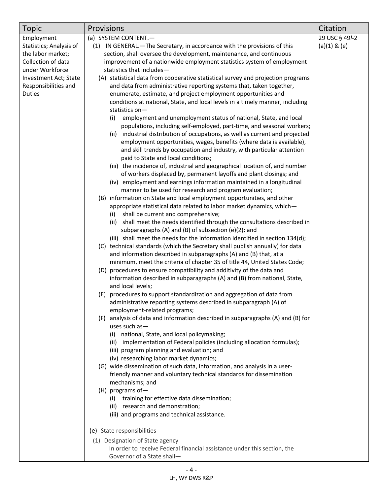| Topic                   | Provisions                                                                                                                                      | Citation         |
|-------------------------|-------------------------------------------------------------------------------------------------------------------------------------------------|------------------|
| Employment              | (a) SYSTEM CONTENT.-                                                                                                                            | 29 USC § 49/-2   |
| Statistics; Analysis of | IN GENERAL. - The Secretary, in accordance with the provisions of this<br>(1)                                                                   | $(a)(1)$ & $(e)$ |
| the labor market;       | section, shall oversee the development, maintenance, and continuous                                                                             |                  |
| Collection of data      | improvement of a nationwide employment statistics system of employment                                                                          |                  |
| under Workforce         | statistics that includes-                                                                                                                       |                  |
| Investment Act; State   | (A) statistical data from cooperative statistical survey and projection programs                                                                |                  |
| Responsibilities and    | and data from administrative reporting systems that, taken together,                                                                            |                  |
| <b>Duties</b>           | enumerate, estimate, and project employment opportunities and                                                                                   |                  |
|                         | conditions at national, State, and local levels in a timely manner, including                                                                   |                  |
|                         | statistics on-                                                                                                                                  |                  |
|                         | employment and unemployment status of national, State, and local<br>(i)                                                                         |                  |
|                         | populations, including self-employed, part-time, and seasonal workers;                                                                          |                  |
|                         | industrial distribution of occupations, as well as current and projected<br>(ii)                                                                |                  |
|                         | employment opportunities, wages, benefits (where data is available),                                                                            |                  |
|                         | and skill trends by occupation and industry, with particular attention                                                                          |                  |
|                         | paid to State and local conditions;                                                                                                             |                  |
|                         | (iii) the incidence of, industrial and geographical location of, and number                                                                     |                  |
|                         | of workers displaced by, permanent layoffs and plant closings; and                                                                              |                  |
|                         | (iv) employment and earnings information maintained in a longitudinal                                                                           |                  |
|                         | manner to be used for research and program evaluation;                                                                                          |                  |
|                         | (B) information on State and local employment opportunities, and other<br>appropriate statistical data related to labor market dynamics, which- |                  |
|                         | shall be current and comprehensive;<br>(i)                                                                                                      |                  |
|                         | shall meet the needs identified through the consultations described in<br>(ii)                                                                  |                  |
|                         | subparagraphs (A) and (B) of subsection (e)(2); and                                                                                             |                  |
|                         | (iii) shall meet the needs for the information identified in section 134(d);                                                                    |                  |
|                         | (C) technical standards (which the Secretary shall publish annually) for data                                                                   |                  |
|                         | and information described in subparagraphs (A) and (B) that, at a                                                                               |                  |
|                         | minimum, meet the criteria of chapter 35 of title 44, United States Code;                                                                       |                  |
|                         | (D) procedures to ensure compatibility and additivity of the data and                                                                           |                  |
|                         | information described in subparagraphs (A) and (B) from national, State,                                                                        |                  |
|                         | and local levels;                                                                                                                               |                  |
|                         | (E) procedures to support standardization and aggregation of data from                                                                          |                  |
|                         | administrative reporting systems described in subparagraph (A) of                                                                               |                  |
|                         | employment-related programs;                                                                                                                    |                  |
|                         | (F) analysis of data and information described in subparagraphs (A) and (B) for<br>uses such $as-$                                              |                  |
|                         | national, State, and local policymaking;<br>(i)                                                                                                 |                  |
|                         | implementation of Federal policies (including allocation formulas);<br>(ii)                                                                     |                  |
|                         | (iii) program planning and evaluation; and                                                                                                      |                  |
|                         | (iv) researching labor market dynamics;                                                                                                         |                  |
|                         | (G) wide dissemination of such data, information, and analysis in a user-                                                                       |                  |
|                         | friendly manner and voluntary technical standards for dissemination                                                                             |                  |
|                         | mechanisms; and                                                                                                                                 |                  |
|                         | (H) programs of-                                                                                                                                |                  |
|                         | training for effective data dissemination;<br>(i)                                                                                               |                  |
|                         | research and demonstration;<br>(ii)                                                                                                             |                  |
|                         | (iii) and programs and technical assistance.                                                                                                    |                  |
|                         | (e) State responsibilities                                                                                                                      |                  |
|                         |                                                                                                                                                 |                  |
|                         | (1) Designation of State agency<br>In order to receive Federal financial assistance under this section, the                                     |                  |
|                         | Governor of a State shall-                                                                                                                      |                  |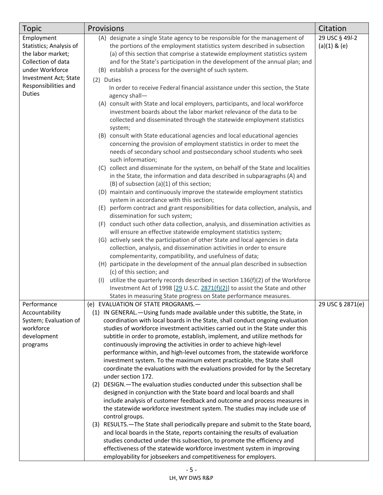| Topic                   | <b>Provisions</b>                                                                                                                                | Citation         |
|-------------------------|--------------------------------------------------------------------------------------------------------------------------------------------------|------------------|
| Employment              | (A) designate a single State agency to be responsible for the management of                                                                      | 29 USC § 49/-2   |
| Statistics; Analysis of | the portions of the employment statistics system described in subsection                                                                         | $(a)(1)$ & $(e)$ |
| the labor market;       | (a) of this section that comprise a statewide employment statistics system                                                                       |                  |
| Collection of data      | and for the State's participation in the development of the annual plan; and                                                                     |                  |
| under Workforce         | (B) establish a process for the oversight of such system.                                                                                        |                  |
| Investment Act; State   | (2) Duties                                                                                                                                       |                  |
| Responsibilities and    | In order to receive Federal financial assistance under this section, the State                                                                   |                  |
| <b>Duties</b>           | agency shall-                                                                                                                                    |                  |
|                         | (A) consult with State and local employers, participants, and local workforce                                                                    |                  |
|                         | investment boards about the labor market relevance of the data to be                                                                             |                  |
|                         | collected and disseminated through the statewide employment statistics                                                                           |                  |
|                         | system;                                                                                                                                          |                  |
|                         | (B) consult with State educational agencies and local educational agencies                                                                       |                  |
|                         | concerning the provision of employment statistics in order to meet the                                                                           |                  |
|                         | needs of secondary school and postsecondary school students who seek                                                                             |                  |
|                         | such information;                                                                                                                                |                  |
|                         | (C) collect and disseminate for the system, on behalf of the State and localities                                                                |                  |
|                         | in the State, the information and data described in subparagraphs (A) and                                                                        |                  |
|                         | (B) of subsection (a)(1) of this section;                                                                                                        |                  |
|                         | (D) maintain and continuously improve the statewide employment statistics                                                                        |                  |
|                         | system in accordance with this section;                                                                                                          |                  |
|                         | (E) perform contract and grant responsibilities for data collection, analysis, and                                                               |                  |
|                         | dissemination for such system;                                                                                                                   |                  |
|                         | (F) conduct such other data collection, analysis, and dissemination activities as                                                                |                  |
|                         | will ensure an effective statewide employment statistics system;                                                                                 |                  |
|                         | (G) actively seek the participation of other State and local agencies in data                                                                    |                  |
|                         | collection, analysis, and dissemination activities in order to ensure                                                                            |                  |
|                         | complementarity, compatibility, and usefulness of data;                                                                                          |                  |
|                         | (H) participate in the development of the annual plan described in subsection                                                                    |                  |
|                         | (c) of this section; and                                                                                                                         |                  |
|                         | utilize the quarterly records described in section 136(f)(2) of the Workforce<br>(1)                                                             |                  |
|                         | Investment Act of 1998 [29 U.S.C. 2871(f)(2)] to assist the State and other<br>States in measuring State progress on State performance measures. |                  |
| Performance             | (e) EVALUATION OF STATE PROGRAMS.-                                                                                                               | 29 USC § 2871(e) |
| Accountability          | (1) IN GENERAL. - Using funds made available under this subtitle, the State, in                                                                  |                  |
| System; Evaluation of   | coordination with local boards in the State, shall conduct ongoing evaluation                                                                    |                  |
| workforce               | studies of workforce investment activities carried out in the State under this                                                                   |                  |
| development             | subtitle in order to promote, establish, implement, and utilize methods for                                                                      |                  |
| programs                | continuously improving the activities in order to achieve high-level                                                                             |                  |
|                         | performance within, and high-level outcomes from, the statewide workforce                                                                        |                  |
|                         | investment system. To the maximum extent practicable, the State shall                                                                            |                  |
|                         | coordinate the evaluations with the evaluations provided for by the Secretary                                                                    |                  |
|                         | under section 172.                                                                                                                               |                  |
|                         | (2) DESIGN.-The evaluation studies conducted under this subsection shall be                                                                      |                  |
|                         | designed in conjunction with the State board and local boards and shall                                                                          |                  |
|                         | include analysis of customer feedback and outcome and process measures in                                                                        |                  |
|                         | the statewide workforce investment system. The studies may include use of                                                                        |                  |
|                         | control groups.                                                                                                                                  |                  |
|                         | (3) RESULTS. - The State shall periodically prepare and submit to the State board,                                                               |                  |
|                         | and local boards in the State, reports containing the results of evaluation                                                                      |                  |
|                         | studies conducted under this subsection, to promote the efficiency and                                                                           |                  |
|                         | effectiveness of the statewide workforce investment system in improving                                                                          |                  |
|                         | employability for jobseekers and competitiveness for employers.                                                                                  |                  |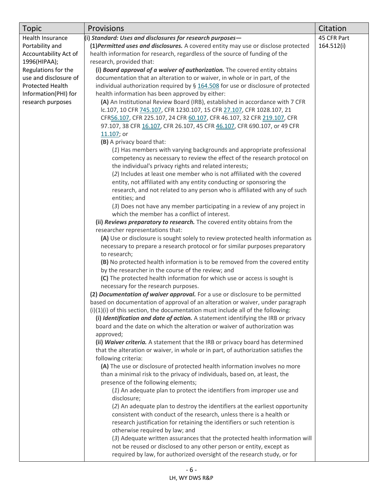| <b>Topic</b>          | Provisions                                                                                                                      | Citation    |
|-----------------------|---------------------------------------------------------------------------------------------------------------------------------|-------------|
| Health Insurance      | (i) Standard: Uses and disclosures for research purposes-                                                                       | 45 CFR Part |
| Portability and       | (1) Permitted uses and disclosures. A covered entity may use or disclose protected                                              | 164.512(i)  |
| Accountability Act of | health information for research, regardless of the source of funding of the                                                     |             |
| 1996(HIPAA);          | research, provided that:                                                                                                        |             |
| Regulations for the   | (i) Board approval of a waiver of authorization. The covered entity obtains                                                     |             |
| use and disclosure of | documentation that an alteration to or waiver, in whole or in part, of the                                                      |             |
| Protected Health      | individual authorization required by § 164.508 for use or disclosure of protected                                               |             |
| Information(PHI) for  | health information has been approved by either:                                                                                 |             |
| research purposes     | (A) An Institutional Review Board (IRB), established in accordance with 7 CFR                                                   |             |
|                       | lc.107, 10 CFR 745.107, CFR 1230.107, 15 CFR 27.107, CFR 1028.107, 21                                                           |             |
|                       | CFR56.107, CFR 225.107, 24 CFR 60.107, CFR 46.107, 32 CFR 219.107, CFR                                                          |             |
|                       | 97.107, 38 CFR 16.107, CFR 26.107, 45 CFR 46.107, CFR 690.107, or 49 CFR                                                        |             |
|                       | 11.107; or                                                                                                                      |             |
|                       | (B) A privacy board that:                                                                                                       |             |
|                       | (1) Has members with varying backgrounds and appropriate professional                                                           |             |
|                       | competency as necessary to review the effect of the research protocol on                                                        |             |
|                       | the individual's privacy rights and related interests;                                                                          |             |
|                       | (2) Includes at least one member who is not affiliated with the covered                                                         |             |
|                       | entity, not affiliated with any entity conducting or sponsoring the                                                             |             |
|                       | research, and not related to any person who is affiliated with any of such                                                      |             |
|                       | entities; and                                                                                                                   |             |
|                       | (3) Does not have any member participating in a review of any project in                                                        |             |
|                       | which the member has a conflict of interest.                                                                                    |             |
|                       | (ii) Reviews preparatory to research. The covered entity obtains from the                                                       |             |
|                       | researcher representations that:                                                                                                |             |
|                       | (A) Use or disclosure is sought solely to review protected health information as                                                |             |
|                       | necessary to prepare a research protocol or for similar purposes preparatory                                                    |             |
|                       | to research;                                                                                                                    |             |
|                       | (B) No protected health information is to be removed from the covered entity                                                    |             |
|                       | by the researcher in the course of the review; and<br>(C) The protected health information for which use or access is sought is |             |
|                       | necessary for the research purposes.                                                                                            |             |
|                       | (2) Documentation of waiver approval. For a use or disclosure to be permitted                                                   |             |
|                       | based on documentation of approval of an alteration or waiver, under paragraph                                                  |             |
|                       | (i)(1)(i) of this section, the documentation must include all of the following:                                                 |             |
|                       | (i) Identification and date of action. A statement identifying the IRB or privacy                                               |             |
|                       | board and the date on which the alteration or waiver of authorization was                                                       |             |
|                       | approved;                                                                                                                       |             |
|                       | (ii) Waiver criteria. A statement that the IRB or privacy board has determined                                                  |             |
|                       | that the alteration or waiver, in whole or in part, of authorization satisfies the                                              |             |
|                       | following criteria:                                                                                                             |             |
|                       | (A) The use or disclosure of protected health information involves no more                                                      |             |
|                       | than a minimal risk to the privacy of individuals, based on, at least, the                                                      |             |
|                       | presence of the following elements;                                                                                             |             |
|                       | (1) An adequate plan to protect the identifiers from improper use and                                                           |             |
|                       | disclosure;                                                                                                                     |             |
|                       | (2) An adequate plan to destroy the identifiers at the earliest opportunity                                                     |             |
|                       | consistent with conduct of the research, unless there is a health or                                                            |             |
|                       | research justification for retaining the identifiers or such retention is                                                       |             |
|                       | otherwise required by law; and                                                                                                  |             |
|                       | (3) Adequate written assurances that the protected health information will                                                      |             |
|                       | not be reused or disclosed to any other person or entity, except as                                                             |             |
|                       | required by law, for authorized oversight of the research study, or for                                                         |             |
|                       |                                                                                                                                 |             |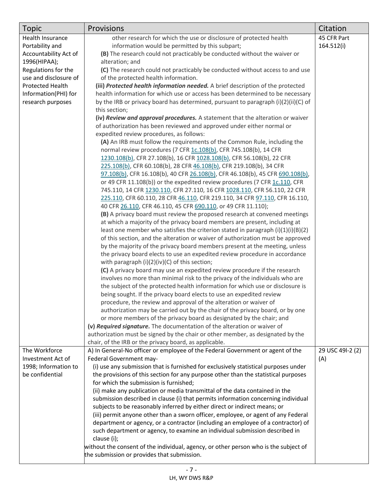| <b>Topic</b>            | Provisions                                                                                                                     | Citation         |
|-------------------------|--------------------------------------------------------------------------------------------------------------------------------|------------------|
| Health Insurance        | other research for which the use or disclosure of protected health                                                             | 45 CFR Part      |
| Portability and         | information would be permitted by this subpart;                                                                                | 164.512(i)       |
| Accountability Act of   | (B) The research could not practicably be conducted without the waiver or                                                      |                  |
| 1996(HIPAA);            | alteration; and                                                                                                                |                  |
| Regulations for the     | (C) The research could not practicably be conducted without access to and use                                                  |                  |
| use and disclosure of   | of the protected health information.                                                                                           |                  |
| <b>Protected Health</b> | (iii) Protected health information needed. A brief description of the protected                                                |                  |
| Information(PHI) for    | health information for which use or access has been determined to be necessary                                                 |                  |
| research purposes       | by the IRB or privacy board has determined, pursuant to paragraph (i)(2)(ii)(C) of<br>this section;                            |                  |
|                         | (iv) Review and approval procedures. A statement that the alteration or waiver                                                 |                  |
|                         | of authorization has been reviewed and approved under either normal or                                                         |                  |
|                         | expedited review procedures, as follows:                                                                                       |                  |
|                         | (A) An IRB must follow the requirements of the Common Rule, including the                                                      |                  |
|                         | normal review procedures (7 CFR 1c.108(b), CFR 745.108(b), 14 CFR                                                              |                  |
|                         | 1230.108(b), CFR 27.108(b), 16 CFR 1028.108(b), CFR 56.108(b), 22 CFR                                                          |                  |
|                         | 225.108(b), CFR 60.108(b), 28 CFR 46.108(b), CFR 219.108(b), 34 CFR                                                            |                  |
|                         | 97.108(b), CFR 16.108(b), 40 CFR 26.108(b), CFR 46.108(b), 45 CFR 690.108(b),                                                  |                  |
|                         | or 49 CFR 11.108(b)) or the expedited review procedures (7 CFR 1c.110, CFR                                                     |                  |
|                         | 745.110, 14 CFR 1230.110, CFR 27.110, 16 CFR 1028.110, CFR 56.110, 22 CFR                                                      |                  |
|                         | 225.110, CFR 60.110, 28 CFR 46.110, CFR 219.110, 34 CFR 97.110, CFR 16.110,                                                    |                  |
|                         | 40 CFR 26.110, CFR 46.110, 45 CFR 690.110, or 49 CFR 11.110);                                                                  |                  |
|                         | (B) A privacy board must review the proposed research at convened meetings                                                     |                  |
|                         | at which a majority of the privacy board members are present, including at                                                     |                  |
|                         | least one member who satisfies the criterion stated in paragraph $(i)(1)(i)(B)(2)$                                             |                  |
|                         | of this section, and the alteration or waiver of authorization must be approved                                                |                  |
|                         | by the majority of the privacy board members present at the meeting, unless                                                    |                  |
|                         | the privacy board elects to use an expedited review procedure in accordance<br>with paragraph $(i)(2)(iv)(C)$ of this section; |                  |
|                         | (C) A privacy board may use an expedited review procedure if the research                                                      |                  |
|                         | involves no more than minimal risk to the privacy of the individuals who are                                                   |                  |
|                         | the subject of the protected health information for which use or disclosure is                                                 |                  |
|                         | being sought. If the privacy board elects to use an expedited review                                                           |                  |
|                         | procedure, the review and approval of the alteration or waiver of                                                              |                  |
|                         | authorization may be carried out by the chair of the privacy board, or by one                                                  |                  |
|                         | or more members of the privacy board as designated by the chair; and                                                           |                  |
|                         | (v) Required signature. The documentation of the alteration or waiver of                                                       |                  |
|                         | authorization must be signed by the chair or other member, as designated by the                                                |                  |
|                         | chair, of the IRB or the privacy board, as applicable.                                                                         |                  |
| The Workforce           | A) In General-No officer or employee of the Federal Government or agent of the                                                 | 29 USC 49I-2 (2) |
| Investment Act of       | Federal Government may-                                                                                                        | (A)              |
| 1998; Information to    | (i) use any submission that is furnished for exclusively statistical purposes under                                            |                  |
| be confidential         | the provisions of this section for any purpose other than the statistical purposes                                             |                  |
|                         | for which the submission is furnished;                                                                                         |                  |
|                         | (ii) make any publication or media transmittal of the data contained in the                                                    |                  |
|                         | submission described in clause (i) that permits information concerning individual                                              |                  |
|                         | subjects to be reasonably inferred by either direct or indirect means; or                                                      |                  |
|                         | (iii) permit anyone other than a sworn officer, employee, or agent of any Federal                                              |                  |
|                         | department or agency, or a contractor (including an employee of a contractor) of                                               |                  |
|                         | such department or agency, to examine an individual submission described in                                                    |                  |
|                         | clause (i);                                                                                                                    |                  |
|                         | without the consent of the individual, agency, or other person who is the subject of                                           |                  |
|                         | the submission or provides that submission.                                                                                    |                  |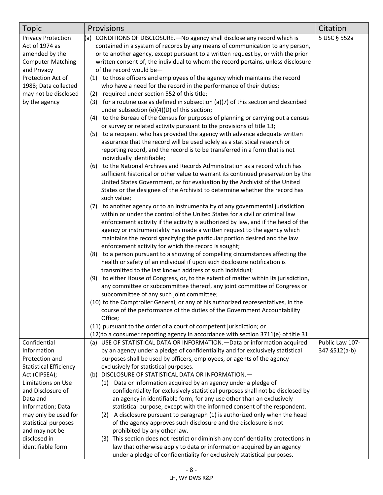| Topic                         | Provisions                                                                               | Citation        |
|-------------------------------|------------------------------------------------------------------------------------------|-----------------|
| <b>Privacy Protection</b>     | (a) CONDITIONS OF DISCLOSURE.—No agency shall disclose any record which is               | 5 USC § 552a    |
| Act of 1974 as                | contained in a system of records by any means of communication to any person,            |                 |
| amended by the                | or to another agency, except pursuant to a written request by, or with the prior         |                 |
| <b>Computer Matching</b>      | written consent of, the individual to whom the record pertains, unless disclosure        |                 |
| and Privacy                   | of the record would be-                                                                  |                 |
| Protection Act of             | (1) to those officers and employees of the agency which maintains the record             |                 |
| 1988; Data collected          | who have a need for the record in the performance of their duties;                       |                 |
| may not be disclosed          | required under section 552 of this title;<br>(2)                                         |                 |
| by the agency                 | for a routine use as defined in subsection (a)(7) of this section and described<br>(3)   |                 |
|                               | under subsection (e)(4)(D) of this section;                                              |                 |
|                               | (4) to the Bureau of the Census for purposes of planning or carrying out a census        |                 |
|                               | or survey or related activity pursuant to the provisions of title 13;                    |                 |
|                               | (5) to a recipient who has provided the agency with advance adequate written             |                 |
|                               | assurance that the record will be used solely as a statistical research or               |                 |
|                               | reporting record, and the record is to be transferred in a form that is not              |                 |
|                               | individually identifiable;                                                               |                 |
|                               | (6) to the National Archives and Records Administration as a record which has            |                 |
|                               | sufficient historical or other value to warrant its continued preservation by the        |                 |
|                               | United States Government, or for evaluation by the Archivist of the United               |                 |
|                               | States or the designee of the Archivist to determine whether the record has              |                 |
|                               | such value;                                                                              |                 |
|                               | to another agency or to an instrumentality of any governmental jurisdiction<br>(7)       |                 |
|                               | within or under the control of the United States for a civil or criminal law             |                 |
|                               | enforcement activity if the activity is authorized by law, and if the head of the        |                 |
|                               | agency or instrumentality has made a written request to the agency which                 |                 |
|                               | maintains the record specifying the particular portion desired and the law               |                 |
|                               | enforcement activity for which the record is sought;                                     |                 |
|                               | to a person pursuant to a showing of compelling circumstances affecting the<br>(8)       |                 |
|                               | health or safety of an individual if upon such disclosure notification is                |                 |
|                               | transmitted to the last known address of such individual;                                |                 |
|                               | to either House of Congress, or, to the extent of matter within its jurisdiction,<br>(9) |                 |
|                               | any committee or subcommittee thereof, any joint committee of Congress or                |                 |
|                               | subcommittee of any such joint committee;                                                |                 |
|                               | (10) to the Comptroller General, or any of his authorized representatives, in the        |                 |
|                               | course of the performance of the duties of the Government Accountability                 |                 |
|                               | Office;                                                                                  |                 |
|                               | (11) pursuant to the order of a court of competent jurisdiction; or                      |                 |
|                               | (12) to a consumer reporting agency in accordance with section 3711(e) of title 31.      |                 |
| Confidential                  | (a) USE OF STATISTICAL DATA OR INFORMATION. - Data or information acquired               | Public Law 107- |
| Information                   | by an agency under a pledge of confidentiality and for exclusively statistical           | 347 §512(a-b)   |
| Protection and                | purposes shall be used by officers, employees, or agents of the agency                   |                 |
| <b>Statistical Efficiency</b> | exclusively for statistical purposes.                                                    |                 |
| Act (CIPSEA);                 | DISCLOSURE OF STATISTICAL DATA OR INFORMATION.-<br>(b)                                   |                 |
| Limitations on Use            | (1) Data or information acquired by an agency under a pledge of                          |                 |
| and Disclosure of             | confidentiality for exclusively statistical purposes shall not be disclosed by           |                 |
| Data and                      | an agency in identifiable form, for any use other than an exclusively                    |                 |
| Information; Data             | statistical purpose, except with the informed consent of the respondent.                 |                 |
| may only be used for          | (2) A disclosure pursuant to paragraph (1) is authorized only when the head              |                 |
| statistical purposes          | of the agency approves such disclosure and the disclosure is not                         |                 |
| and may not be                | prohibited by any other law.                                                             |                 |
| disclosed in                  | (3) This section does not restrict or diminish any confidentiality protections in        |                 |
| identifiable form             | law that otherwise apply to data or information acquired by an agency                    |                 |
|                               | under a pledge of confidentiality for exclusively statistical purposes.                  |                 |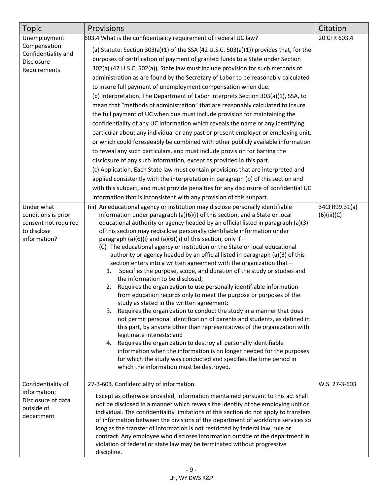| <b>Topic</b>                                                                             | Provisions                                                                                                                                                                                                                                                                                                                                                                                                                                                                                                                                                                                                                                                                                                                                                                                                                                                                                                                                                                                                                                                                                                                                                                                                                                                                                                                                                                                                                                                                                      | Citation                     |
|------------------------------------------------------------------------------------------|-------------------------------------------------------------------------------------------------------------------------------------------------------------------------------------------------------------------------------------------------------------------------------------------------------------------------------------------------------------------------------------------------------------------------------------------------------------------------------------------------------------------------------------------------------------------------------------------------------------------------------------------------------------------------------------------------------------------------------------------------------------------------------------------------------------------------------------------------------------------------------------------------------------------------------------------------------------------------------------------------------------------------------------------------------------------------------------------------------------------------------------------------------------------------------------------------------------------------------------------------------------------------------------------------------------------------------------------------------------------------------------------------------------------------------------------------------------------------------------------------|------------------------------|
| Unemployment<br>Compensation<br>Confidentiality and<br>Disclosure<br>Requirements        | 603.4 What is the confidentiality requirement of Federal UC law?<br>(a) Statute. Section 303(a)(1) of the SSA (42 U.S.C. 503(a)(1)) provides that, for the<br>purposes of certification of payment of granted funds to a State under Section<br>302(a) (42 U.S.C. 502(a)), State law must include provision for such methods of<br>administration as are found by the Secretary of Labor to be reasonably calculated<br>to insure full payment of unemployment compensation when due.<br>(b) Interpretation. The Department of Labor interprets Section 303(a)(1), SSA, to<br>mean that "methods of administration" that are reasonably calculated to insure<br>the full payment of UC when due must include provision for maintaining the<br>confidentiality of any UC information which reveals the name or any identifying<br>particular about any individual or any past or present employer or employing unit,<br>or which could foreseeably be combined with other publicly available information<br>to reveal any such particulars, and must include provision for barring the<br>disclosure of any such information, except as provided in this part.<br>(c) Application. Each State law must contain provisions that are interpreted and<br>applied consistently with the interpretation in paragraph (b) of this section and                                                                                                                                                          | 20 CFR 603.4                 |
|                                                                                          | with this subpart, and must provide penalties for any disclosure of confidential UC<br>information that is inconsistent with any provision of this subpart.                                                                                                                                                                                                                                                                                                                                                                                                                                                                                                                                                                                                                                                                                                                                                                                                                                                                                                                                                                                                                                                                                                                                                                                                                                                                                                                                     |                              |
| Under what<br>conditions is prior<br>consent not required<br>to disclose<br>information? | (iii) An educational agency or institution may disclose personally identifiable<br>information under paragraph (a)(6)(i) of this section, and a State or local<br>educational authority or agency headed by an official listed in paragraph (a)(3)<br>of this section may redisclose personally identifiable information under<br>paragraph (a)(6)(i) and (a)(6)(ii) of this section, only if $-$<br>(C) The educational agency or institution or the State or local educational<br>authority or agency headed by an official listed in paragraph (a)(3) of this<br>section enters into a written agreement with the organization that-<br>Specifies the purpose, scope, and duration of the study or studies and<br>1.<br>the information to be disclosed;<br>Requires the organization to use personally identifiable information<br>2.<br>from education records only to meet the purpose or purposes of the<br>study as stated in the written agreement;<br>3. Requires the organization to conduct the study in a manner that does<br>not permit personal identification of parents and students, as defined in<br>this part, by anyone other than representatives of the organization with<br>legitimate interests; and<br>4. Requires the organization to destroy all personally identifiable<br>information when the information is no longer needed for the purposes<br>for which the study was conducted and specifies the time period in<br>which the information must be destroyed. | 34CFR99.31(a)<br>(6)(iii)(C) |
| Confidentiality of<br>information;<br>Disclosure of data<br>outside of<br>department     | 27-3-603. Confidentiality of information.<br>Except as otherwise provided, information maintained pursuant to this act shall<br>not be disclosed in a manner which reveals the identity of the employing unit or<br>individual. The confidentiality limitations of this section do not apply to transfers<br>of information between the divisions of the department of workforce services so<br>long as the transfer of information is not restricted by federal law, rule or<br>contract. Any employee who discloses information outside of the department in<br>violation of federal or state law may be terminated without progressive<br>discipline.                                                                                                                                                                                                                                                                                                                                                                                                                                                                                                                                                                                                                                                                                                                                                                                                                                        | W.S. 27-3-603                |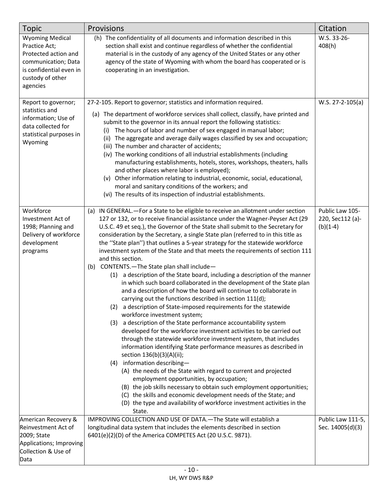| <b>Topic</b>                                                                                                                                      | Provisions                                                                                                                                                                                                                                                                                                                                                                                                                                                                                                                                                                                                                                                                                                                                                                                                                                                                                                                                                                                                                                                                                                                                                                                                                                                                                                                                                                                                                                                                                                                                                                                                                                                                           | Citation                                          |
|---------------------------------------------------------------------------------------------------------------------------------------------------|--------------------------------------------------------------------------------------------------------------------------------------------------------------------------------------------------------------------------------------------------------------------------------------------------------------------------------------------------------------------------------------------------------------------------------------------------------------------------------------------------------------------------------------------------------------------------------------------------------------------------------------------------------------------------------------------------------------------------------------------------------------------------------------------------------------------------------------------------------------------------------------------------------------------------------------------------------------------------------------------------------------------------------------------------------------------------------------------------------------------------------------------------------------------------------------------------------------------------------------------------------------------------------------------------------------------------------------------------------------------------------------------------------------------------------------------------------------------------------------------------------------------------------------------------------------------------------------------------------------------------------------------------------------------------------------|---------------------------------------------------|
| <b>Wyoming Medical</b><br>Practice Act;<br>Protected action and<br>communication; Data<br>is confidential even in<br>custody of other<br>agencies | (h) The confidentiality of all documents and information described in this<br>section shall exist and continue regardless of whether the confidential<br>material is in the custody of any agency of the United States or any other<br>agency of the state of Wyoming with whom the board has cooperated or is<br>cooperating in an investigation.                                                                                                                                                                                                                                                                                                                                                                                                                                                                                                                                                                                                                                                                                                                                                                                                                                                                                                                                                                                                                                                                                                                                                                                                                                                                                                                                   | W.S. 33-26-<br>408(h)                             |
| Report to governor;<br>statistics and<br>information; Use of<br>data collected for<br>statistical purposes in<br>Wyoming                          | 27-2-105. Report to governor; statistics and information required.<br>(a) The department of workforce services shall collect, classify, have printed and<br>submit to the governor in its annual report the following statistics:<br>The hours of labor and number of sex engaged in manual labor;<br>(i)<br>(ii) The aggregate and average daily wages classified by sex and occupation;<br>(iii) The number and character of accidents;<br>(iv) The working conditions of all industrial establishments (including<br>manufacturing establishments, hotels, stores, workshops, theaters, halls<br>and other places where labor is employed);<br>(v) Other information relating to industrial, economic, social, educational,<br>moral and sanitary conditions of the workers; and<br>(vi) The results of its inspection of industrial establishments.                                                                                                                                                                                                                                                                                                                                                                                                                                                                                                                                                                                                                                                                                                                                                                                                                              | W.S. 27-2-105(a)                                  |
| Workforce<br>Investment Act of<br>1998; Planning and<br>Delivery of workforce<br>development<br>programs                                          | (a) IN GENERAL. - For a State to be eligible to receive an allotment under section<br>127 or 132, or to receive financial assistance under the Wagner-Peyser Act (29<br>U.S.C. 49 et seq.), the Governor of the State shall submit to the Secretary for<br>consideration by the Secretary, a single State plan (referred to in this title as<br>the "State plan") that outlines a 5-year strategy for the statewide workforce<br>investment system of the State and that meets the requirements of section 111<br>and this section.<br>(b) CONTENTS.-The State plan shall include-<br>(1) a description of the State board, including a description of the manner<br>in which such board collaborated in the development of the State plan<br>and a description of how the board will continue to collaborate in<br>carrying out the functions described in section 111(d);<br>a description of State-imposed requirements for the statewide<br>(2)<br>workforce investment system;<br>(3) a description of the State performance accountability system<br>developed for the workforce investment activities to be carried out<br>through the statewide workforce investment system, that includes<br>information identifying State performance measures as described in<br>section 136(b)(3)(A)(ii);<br>(4) information describing-<br>(A) the needs of the State with regard to current and projected<br>employment opportunities, by occupation;<br>(B) the job skills necessary to obtain such employment opportunities;<br>(C) the skills and economic development needs of the State; and<br>(D) the type and availability of workforce investment activities in the<br>State. | Public Law 105-<br>220, Sec112 (a)-<br>$(b)(1-4)$ |
| American Recovery &<br>Reinvestment Act of<br>2009; State<br>Applications; Improving<br>Collection & Use of<br>Data                               | IMPROVING COLLECTION AND USE OF DATA. - The State will establish a<br>longitudinal data system that includes the elements described in section<br>6401(e)(2)(D) of the America COMPETES Act (20 U.S.C. 9871).                                                                                                                                                                                                                                                                                                                                                                                                                                                                                                                                                                                                                                                                                                                                                                                                                                                                                                                                                                                                                                                                                                                                                                                                                                                                                                                                                                                                                                                                        | Public Law 111-5,<br>Sec. 14005(d)(3)             |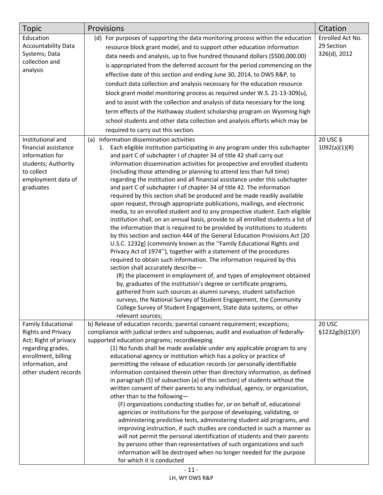| Topic                                      | Provisions                                                                                                                                        | Citation         |
|--------------------------------------------|---------------------------------------------------------------------------------------------------------------------------------------------------|------------------|
| Education                                  | (d) For purposes of supporting the data monitoring process within the education                                                                   | Enrolled Act No. |
| <b>Accountability Data</b>                 | resource block grant model, and to support other education information                                                                            | 29 Section       |
| Systems; Data                              | data needs and analysis, up to five hundred thousand dollars (\$500,000.00)                                                                       | 326(d), 2012     |
| collection and                             | is appropriated from the deferred account for the period commencing on the                                                                        |                  |
| analysis                                   | effective date of this section and ending June 30, 2014, to DWS R&P, to                                                                           |                  |
|                                            | conduct data collection and analysis necessary for the education resource                                                                         |                  |
|                                            | block grant model monitoring process as required under W.S. 21-13-309(u),                                                                         |                  |
|                                            |                                                                                                                                                   |                  |
|                                            | and to assist with the collection and analysis of data necessary for the long                                                                     |                  |
|                                            | term effects of the Hathaway student scholarship program on Wyoming high                                                                          |                  |
|                                            | school students and other data collection and analysis efforts which may be                                                                       |                  |
|                                            | required to carry out this section.                                                                                                               |                  |
| Institutional and                          | (a) Information dissemination activities                                                                                                          | 20 USC §         |
| financial assistance                       | 1. Each eligible institution participating in any program under this subchapter                                                                   | 1092(a)(1)(R)    |
| information for                            | and part C of subchapter I of chapter 34 of title 42 shall carry out                                                                              |                  |
| students; Authority                        | information dissemination activities for prospective and enrolled students                                                                        |                  |
| to collect                                 | (including those attending or planning to attend less than full time)                                                                             |                  |
| employment data of                         | regarding the institution and all financial assistance under this subchapter                                                                      |                  |
| graduates                                  | and part C of subchapter I of chapter 34 of title 42. The information<br>required by this section shall be produced and be made readily available |                  |
|                                            | upon request, through appropriate publications, mailings, and electronic                                                                          |                  |
|                                            | media, to an enrolled student and to any prospective student. Each eligible                                                                       |                  |
|                                            | institution shall, on an annual basis, provide to all enrolled students a list of                                                                 |                  |
|                                            | the information that is required to be provided by institutions to students                                                                       |                  |
|                                            | by this section and section 444 of the General Education Provisions Act [20                                                                       |                  |
|                                            | U.S.C. 1232g] (commonly known as the "Family Educational Rights and                                                                               |                  |
|                                            | Privacy Act of 1974"), together with a statement of the procedures                                                                                |                  |
|                                            | required to obtain such information. The information required by this                                                                             |                  |
|                                            | section shall accurately describe-                                                                                                                |                  |
|                                            | (R) the placement in employment of, and types of employment obtained                                                                              |                  |
|                                            | by, graduates of the institution's degree or certificate programs,                                                                                |                  |
|                                            | gathered from such sources as alumni surveys, student satisfaction                                                                                |                  |
|                                            | surveys, the National Survey of Student Engagement, the Community                                                                                 |                  |
|                                            | College Survey of Student Engagement, State data systems, or other                                                                                |                  |
|                                            | relevant sources;                                                                                                                                 |                  |
| <b>Family Educational</b>                  | b) Release of education records; parental consent requirement; exceptions;                                                                        | 20 USC           |
| <b>Rights and Privacy</b>                  | compliance with judicial orders and subpoenas; audit and evaluation of federally-                                                                 | \$1232g(b)(1)(F) |
| Act; Right of privacy<br>regarding grades, | supported education programs; recordkeeping<br>(1) No funds shall be made available under any applicable program to any                           |                  |
| enrollment, billing                        | educational agency or institution which has a policy or practice of                                                                               |                  |
| information, and                           | permitting the release of education records (or personally identifiable                                                                           |                  |
| other student records                      | information contained therein other than directory information, as defined                                                                        |                  |
|                                            | in paragraph (5) of subsection (a) of this section) of students without the                                                                       |                  |
|                                            | written consent of their parents to any individual, agency, or organization,                                                                      |                  |
|                                            | other than to the following-                                                                                                                      |                  |
|                                            | (F) organizations conducting studies for, or on behalf of, educational                                                                            |                  |
|                                            | agencies or institutions for the purpose of developing, validating, or                                                                            |                  |
|                                            | administering predictive tests, administering student aid programs, and                                                                           |                  |
|                                            | improving instruction, if such studies are conducted in such a manner as                                                                          |                  |
|                                            | will not permit the personal identification of students and their parents                                                                         |                  |
|                                            | by persons other than representatives of such organizations and such                                                                              |                  |
|                                            | information will be destroyed when no longer needed for the purpose                                                                               |                  |
|                                            | for which it is conducted                                                                                                                         |                  |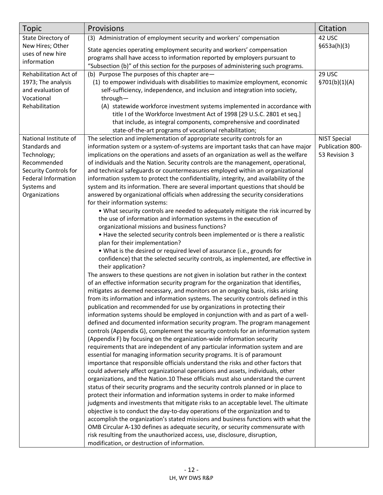| <b>Topic</b>               | Provisions                                                                                                                                                            | Citation            |
|----------------------------|-----------------------------------------------------------------------------------------------------------------------------------------------------------------------|---------------------|
| State Directory of         | (3) Administration of employment security and workers' compensation                                                                                                   | 42 USC              |
| New Hires; Other           | State agencies operating employment security and workers' compensation                                                                                                | \$653a(h)(3)        |
| uses of new hire           | programs shall have access to information reported by employers pursuant to                                                                                           |                     |
| information                | "Subsection (b)" of this section for the purposes of administering such programs.                                                                                     |                     |
| Rehabilitation Act of      | (b) Purpose The purposes of this chapter are-                                                                                                                         | 29 USC              |
| 1973; The analysis         | (1) to empower individuals with disabilities to maximize employment, economic                                                                                         | \$701(b)(1)(A)      |
| and evaluation of          | self-sufficiency, independence, and inclusion and integration into society,                                                                                           |                     |
| Vocational                 | through-                                                                                                                                                              |                     |
| Rehabilitation             | (A) statewide workforce investment systems implemented in accordance with                                                                                             |                     |
|                            | title I of the Workforce Investment Act of 1998 [29 U.S.C. 2801 et seq.]                                                                                              |                     |
|                            | that include, as integral components, comprehensive and coordinated                                                                                                   |                     |
|                            | state-of-the-art programs of vocational rehabilitation;                                                                                                               |                     |
| National Institute of      | The selection and implementation of appropriate security controls for an                                                                                              | <b>NIST Special</b> |
| Standards and              | information system or a system-of-systems are important tasks that can have major                                                                                     | Publication 800-    |
| Technology;                | implications on the operations and assets of an organization as well as the welfare                                                                                   | 53 Revision 3       |
| Recommended                | of individuals and the Nation. Security controls are the management, operational,                                                                                     |                     |
| Security Controls for      | and technical safeguards or countermeasures employed within an organizational                                                                                         |                     |
| <b>Federal Information</b> | information system to protect the confidentiality, integrity, and availability of the                                                                                 |                     |
| Systems and                | system and its information. There are several important questions that should be                                                                                      |                     |
| Organizations              | answered by organizational officials when addressing the security considerations                                                                                      |                     |
|                            | for their information systems:                                                                                                                                        |                     |
|                            | . What security controls are needed to adequately mitigate the risk incurred by                                                                                       |                     |
|                            | the use of information and information systems in the execution of                                                                                                    |                     |
|                            | organizational missions and business functions?                                                                                                                       |                     |
|                            | . Have the selected security controls been implemented or is there a realistic                                                                                        |                     |
|                            | plan for their implementation?                                                                                                                                        |                     |
|                            | . What is the desired or required level of assurance (i.e., grounds for                                                                                               |                     |
|                            | confidence) that the selected security controls, as implemented, are effective in                                                                                     |                     |
|                            | their application?                                                                                                                                                    |                     |
|                            | The answers to these questions are not given in isolation but rather in the context                                                                                   |                     |
|                            | of an effective information security program for the organization that identifies,                                                                                    |                     |
|                            | mitigates as deemed necessary, and monitors on an ongoing basis, risks arising<br>from its information and information systems. The security controls defined in this |                     |
|                            | publication and recommended for use by organizations in protecting their                                                                                              |                     |
|                            | information systems should be employed in conjunction with and as part of a well-                                                                                     |                     |
|                            | defined and documented information security program. The program management                                                                                           |                     |
|                            | controls (Appendix G), complement the security controls for an information system                                                                                     |                     |
|                            | (Appendix F) by focusing on the organization-wide information security                                                                                                |                     |
|                            | requirements that are independent of any particular information system and are                                                                                        |                     |
|                            | essential for managing information security programs. It is of paramount                                                                                              |                     |
|                            | importance that responsible officials understand the risks and other factors that                                                                                     |                     |
|                            | could adversely affect organizational operations and assets, individuals, other                                                                                       |                     |
|                            | organizations, and the Nation.10 These officials must also understand the current                                                                                     |                     |
|                            | status of their security programs and the security controls planned or in place to                                                                                    |                     |
|                            | protect their information and information systems in order to make informed                                                                                           |                     |
|                            | judgments and investments that mitigate risks to an acceptable level. The ultimate                                                                                    |                     |
|                            | objective is to conduct the day-to-day operations of the organization and to                                                                                          |                     |
|                            | accomplish the organization's stated missions and business functions with what the                                                                                    |                     |
|                            | OMB Circular A-130 defines as adequate security, or security commensurate with                                                                                        |                     |
|                            | risk resulting from the unauthorized access, use, disclosure, disruption,                                                                                             |                     |
|                            | modification, or destruction of information.                                                                                                                          |                     |